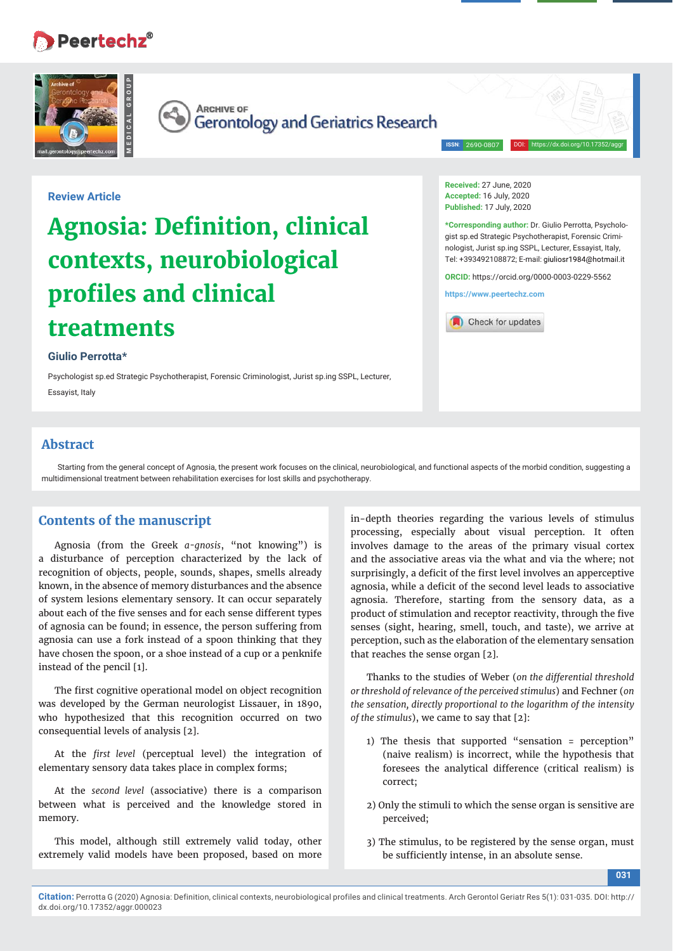# Peertechz®





**ARCHIVE OF** Gerontology and Geriatrics Research

**ISSN**: 2690-0807

DOI: https://dx.doi.org/10.17352/aggr

## **Review Article**

# **Agnosia: Definition, clinical contexts, neurobiological profi les and clinical treatments**

#### **Giulio Perrotta\***

Psychologist sp.ed Strategic Psychotherapist, Forensic Criminologist, Jurist sp.ing SSPL, Lecturer, Essayist, Italy

**Received:** 27 June, 2020 **Accepted:** 16 July, 2020 **Published:** 17 July, 2020

**\*Corresponding author:** Dr. Giulio Perrotta, Psychologist sp.ed Strategic Psychotherapist, Forensic Criminologist, Jurist sp.ing SSPL, Lecturer, Essayist, Italy, Tel: +393492108872; E-mail:

**ORCID:** https://orcid.org/0000-0003-0229-5562

**https://www.peertechz.com**



### **Abstract**

Starting from the general concept of Agnosia, the present work focuses on the clinical, neurobiological, and functional aspects of the morbid condition, suggesting a multidimensional treatment between rehabilitation exercises for lost skills and psychotherapy.

# **Contents of the manuscript**

Agnosia (from the Greek *a-gnosis*, "not knowing") is a disturbance of perception characterized by the lack of recognition of objects, people, sounds, shapes, smells already known, in the absence of memory disturbances and the absence of system lesions elementary sensory. It can occur separately about each of the five senses and for each sense different types of agnosia can be found; in essence, the person suffering from agnosia can use a fork instead of a spoon thinking that they have chosen the spoon, or a shoe instead of a cup or a penknife instead of the pencil [1].

The first cognitive operational model on object recognition was developed by the German neurologist Lissauer, in 1890, who hypothesized that this recognition occurred on two consequential levels of analysis [2].

At the *first level* (perceptual level) the integration of elementary sensory data takes place in complex forms;

At the *second level* (associative) there is a comparison between what is perceived and the knowledge stored in memory.

This model, although still extremely valid today, other extremely valid models have been proposed, based on more

in-depth theories regarding the various levels of stimulus processing, especially about visual perception. It often involves damage to the areas of the primary visual cortex and the associative areas via the what and via the where; not surprisingly, a deficit of the first level involves an apperceptive agnosia, while a deficit of the second level leads to associative agnosia. Therefore, starting from the sensory data, as a product of stimulation and receptor reactivity, through the five senses (sight, hearing, smell, touch, and taste), we arrive at perception, such as the elaboration of the elementary sensation that reaches the sense organ [2].

Thanks to the studies of Weber (on the differential threshold *or threshold of relevance of the perceived stimulus*) and Fechner (*on the sensation, directly proportional to the logarithm of the intensity of the stimulus*), we came to say that [2]:

- 1) The thesis that supported "sensation = perception" (naive realism) is incorrect, while the hypothesis that foresees the analytical difference (critical realism) is correct;
- 2) Only the stimuli to which the sense organ is sensitive are perceived;
- 3) The stimulus, to be registered by the sense organ, must be sufficiently intense, in an absolute sense.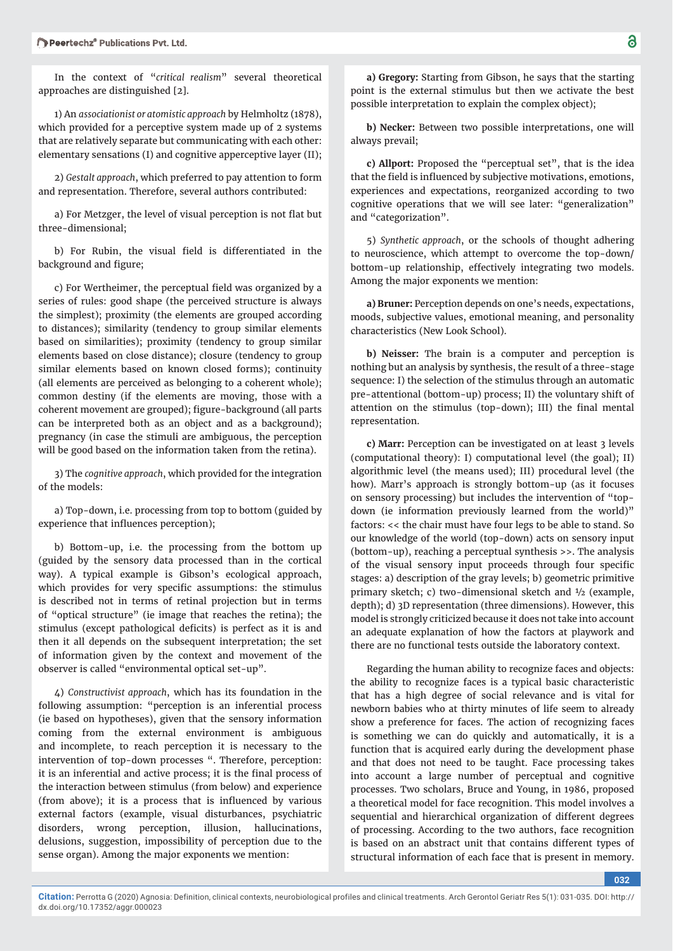In the context of "*critical realism*" several theoretical approaches are distinguished [2].

1) An *associationist or atomistic approach* by Helmholtz (1878), which provided for a perceptive system made up of 2 systems that are relatively separate but communicating with each other: elementary sensations (I) and cognitive apperceptive layer (II);

2) *Gestalt approach*, which preferred to pay attention to form and representation. Therefore, several authors contributed:

a) For Metzger, the level of visual perception is not flat but three-dimensional;

b) For Rubin, the visual field is differentiated in the background and figure;

c) For Wertheimer, the perceptual field was organized by a series of rules: good shape (the perceived structure is always the simplest); proximity (the elements are grouped according to distances); similarity (tendency to group similar elements based on similarities); proximity (tendency to group similar elements based on close distance); closure (tendency to group similar elements based on known closed forms); continuity (all elements are perceived as belonging to a coherent whole); common destiny (if the elements are moving, those with a coherent movement are grouped); figure-background (all parts can be interpreted both as an object and as a background); pregnancy (in case the stimuli are ambiguous, the perception will be good based on the information taken from the retina).

3) The *cognitive approach*, which provided for the integration of the models:

a) Top-down, i.e. processing from top to bottom (guided by experience that influences perception);

b) Bottom-up, i.e. the processing from the bottom up (guided by the sensory data processed than in the cortical way). A typical example is Gibson's ecological approach, which provides for very specific assumptions: the stimulus is described not in terms of retinal projection but in terms of "optical structure" (ie image that reaches the retina); the stimulus (except pathological deficits) is perfect as it is and then it all depends on the subsequent interpretation; the set of information given by the context and movement of the observer is called "environmental optical set-up".

4) *Constructivist approach*, which has its foundation in the following assumption: "perception is an inferential process (ie based on hypotheses), given that the sensory information coming from the external environment is ambiguous and incomplete, to reach perception it is necessary to the intervention of top-down processes ". Therefore, perception: it is an inferential and active process; it is the final process of the interaction between stimulus (from below) and experience (from above); it is a process that is influenced by various external factors (example, visual disturbances, psychiatric disorders, wrong perception, illusion, hallucinations, delusions, suggestion, impossibility of perception due to the sense organ). Among the major exponents we mention:

dx.doi.org/10.17352/aggr.000023

**a) Gregory:** Starting from Gibson, he says that the starting point is the external stimulus but then we activate the best possible interpretation to explain the complex object);

**b) Necker:** Between two possible interpretations, one will always prevail;

**c) Allport:** Proposed the "perceptual set", that is the idea that the field is influenced by subjective motivations, emotions, experiences and expectations, reorganized according to two cognitive operations that we will see later: "generalization" and "categorization".

5) *Synthetic approach*, or the schools of thought adhering to neuroscience, which attempt to overcome the top-down/ bottom-up relationship, effectively integrating two models. Among the major exponents we mention:

**a) Bruner:** Perception depends on one's needs, expectations, moods, subjective values, emotional meaning, and personality characteristics (New Look School).

**b) Neisser:** The brain is a computer and perception is nothing but an analysis by synthesis, the result of a three-stage sequence: I) the selection of the stimulus through an automatic pre-attentional (bottom-up) process; II) the voluntary shift of attention on the stimulus (top-down); III) the final mental representation.

**c) Marr:** Perception can be investigated on at least 3 levels (computational theory): I) computational level (the goal); II) algorithmic level (the means used); III) procedural level (the how). Marr's approach is strongly bottom-up (as it focuses on sensory processing) but includes the intervention of "topdown (ie information previously learned from the world)" factors: << the chair must have four legs to be able to stand. So our knowledge of the world (top-down) acts on sensory input (bottom-up), reaching a perceptual synthesis >>. The analysis of the visual sensory input proceeds through four specific stages: a) description of the gray levels; b) geometric primitive primary sketch; c) two-dimensional sketch and ½ (example, depth); d) 3D representation (three dimensions). However, this model is strongly criticized because it does not take into account an adequate explanation of how the factors at playwork and there are no functional tests outside the laboratory context.

Regarding the human ability to recognize faces and objects: the ability to recognize faces is a typical basic characteristic that has a high degree of social relevance and is vital for newborn babies who at thirty minutes of life seem to already show a preference for faces. The action of recognizing faces is something we can do quickly and automatically, it is a function that is acquired early during the development phase and that does not need to be taught. Face processing takes into account a large number of perceptual and cognitive processes. Two scholars, Bruce and Young, in 1986, proposed a theoretical model for face recognition. This model involves a sequential and hierarchical organization of different degrees of processing. According to the two authors, face recognition is based on an abstract unit that contains different types of structural information of each face that is present in memory.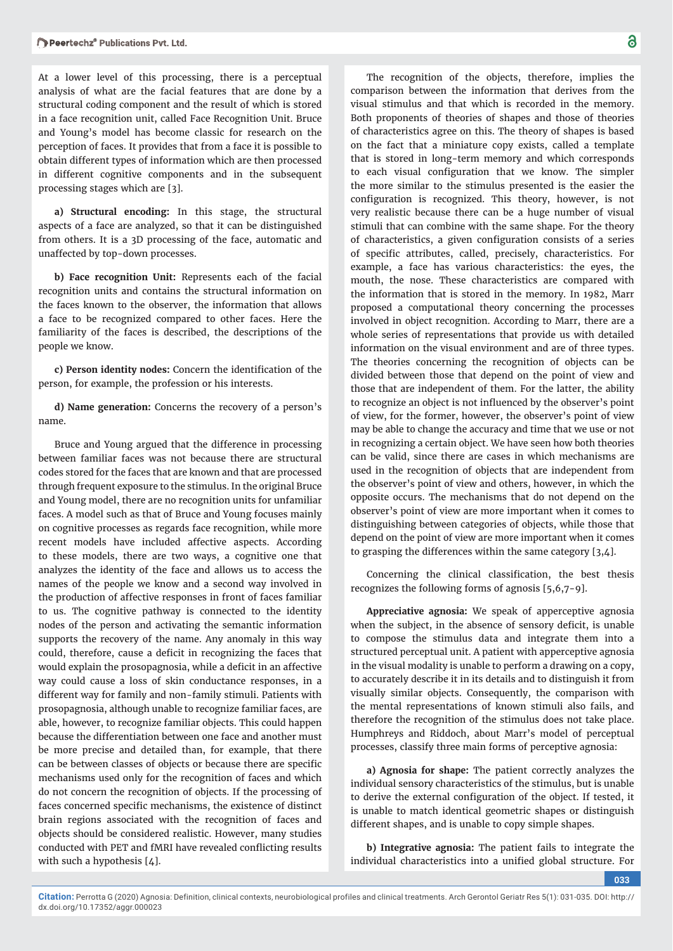At a lower level of this processing, there is a perceptual analysis of what are the facial features that are done by a structural coding component and the result of which is stored in a face recognition unit, called Face Recognition Unit. Bruce and Young's model has become classic for research on the perception of faces. It provides that from a face it is possible to obtain different types of information which are then processed in different cognitive components and in the subsequent processing stages which are [3].

**a) Structural encoding:** In this stage, the structural aspects of a face are analyzed, so that it can be distinguished from others. It is a 3D processing of the face, automatic and unaffected by top-down processes.

**b) Face recognition Unit:** Represents each of the facial recognition units and contains the structural information on the faces known to the observer, the information that allows a face to be recognized compared to other faces. Here the familiarity of the faces is described, the descriptions of the people we know.

**c) Person identity nodes:** Concern the identification of the person, for example, the profession or his interests.

**d) Name generation:** Concerns the recovery of a person's name.

Bruce and Young argued that the difference in processing between familiar faces was not because there are structural codes stored for the faces that are known and that are processed through frequent exposure to the stimulus. In the original Bruce and Young model, there are no recognition units for unfamiliar faces. A model such as that of Bruce and Young focuses mainly on cognitive processes as regards face recognition, while more recent models have included affective aspects. According to these models, there are two ways, a cognitive one that analyzes the identity of the face and allows us to access the names of the people we know and a second way involved in the production of affective responses in front of faces familiar to us. The cognitive pathway is connected to the identity nodes of the person and activating the semantic information supports the recovery of the name. Any anomaly in this way could, therefore, cause a deficit in recognizing the faces that would explain the prosopagnosia, while a deficit in an affective way could cause a loss of skin conductance responses, in a different way for family and non-family stimuli. Patients with prosopagnosia, although unable to recognize familiar faces, are able, however, to recognize familiar objects. This could happen because the differentiation between one face and another must be more precise and detailed than, for example, that there can be between classes of objects or because there are specific mechanisms used only for the recognition of faces and which do not concern the recognition of objects. If the processing of faces concerned specific mechanisms, the existence of distinct brain regions associated with the recognition of faces and objects should be considered realistic. However, many studies conducted with PET and fMRI have revealed conflicting results with such a hypothesis [4].

The recognition of the objects, therefore, implies the comparison between the information that derives from the visual stimulus and that which is recorded in the memory. Both proponents of theories of shapes and those of theories of characteristics agree on this. The theory of shapes is based on the fact that a miniature copy exists, called a template that is stored in long-term memory and which corresponds to each visual configuration that we know. The simpler the more similar to the stimulus presented is the easier the configuration is recognized. This theory, however, is not very realistic because there can be a huge number of visual stimuli that can combine with the same shape. For the theory of characteristics, a given configuration consists of a series of specific attributes, called, precisely, characteristics. For example, a face has various characteristics: the eyes, the mouth, the nose. These characteristics are compared with the information that is stored in the memory. In 1982, Marr proposed a computational theory concerning the processes involved in object recognition. According to Marr, there are a whole series of representations that provide us with detailed information on the visual environment and are of three types. The theories concerning the recognition of objects can be divided between those that depend on the point of view and those that are independent of them. For the latter, the ability to recognize an object is not influenced by the observer's point of view, for the former, however, the observer's point of view may be able to change the accuracy and time that we use or not in recognizing a certain object. We have seen how both theories can be valid, since there are cases in which mechanisms are used in the recognition of objects that are independent from the observer's point of view and others, however, in which the opposite occurs. The mechanisms that do not depend on the observer's point of view are more important when it comes to distinguishing between categories of objects, while those that depend on the point of view are more important when it comes to grasping the differences within the same category [3,4].

Concerning the clinical classification, the best thesis recognizes the following forms of agnosis [5,6,7-9].

**Appreciative agnosia:** We speak of apperceptive agnosia when the subject, in the absence of sensory deficit, is unable to compose the stimulus data and integrate them into a structured perceptual unit. A patient with apperceptive agnosia in the visual modality is unable to perform a drawing on a copy, to accurately describe it in its details and to distinguish it from visually similar objects. Consequently, the comparison with the mental representations of known stimuli also fails, and therefore the recognition of the stimulus does not take place. Humphreys and Riddoch, about Marr's model of perceptual processes, classify three main forms of perceptive agnosia:

**a) Agnosia for shape:** The patient correctly analyzes the individual sensory characteristics of the stimulus, but is unable to derive the external configuration of the object. If tested, it is unable to match identical geometric shapes or distinguish different shapes, and is unable to copy simple shapes.

**b) Integrative agnosia:** The patient fails to integrate the individual characteristics into a unified global structure. For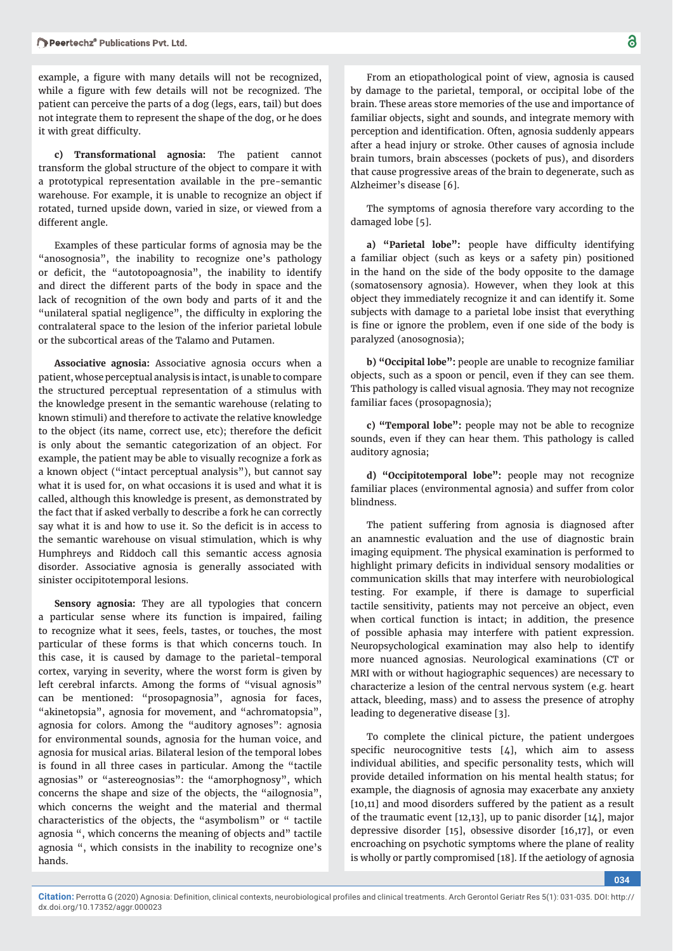example, a figure with many details will not be recognized, while a figure with few details will not be recognized. The patient can perceive the parts of a dog (legs, ears, tail) but does not integrate them to represent the shape of the dog, or he does it with great difficulty.

**c) Transformational agnosia:** The patient cannot transform the global structure of the object to compare it with a prototypical representation available in the pre-semantic warehouse. For example, it is unable to recognize an object if rotated, turned upside down, varied in size, or viewed from a different angle.

Examples of these particular forms of agnosia may be the "anosognosia", the inability to recognize one's pathology or deficit, the "autotopoagnosia", the inability to identify and direct the different parts of the body in space and the lack of recognition of the own body and parts of it and the "unilateral spatial negligence", the difficulty in exploring the contralateral space to the lesion of the inferior parietal lobule or the subcortical areas of the Talamo and Putamen.

**Associative agnosia:** Associative agnosia occurs when a patient, whose perceptual analysis is intact, is unable to compare the structured perceptual representation of a stimulus with the knowledge present in the semantic warehouse (relating to known stimuli) and therefore to activate the relative knowledge to the object (its name, correct use, etc); therefore the deficit is only about the semantic categorization of an object. For example, the patient may be able to visually recognize a fork as a known object ("intact perceptual analysis"), but cannot say what it is used for, on what occasions it is used and what it is called, although this knowledge is present, as demonstrated by the fact that if asked verbally to describe a fork he can correctly say what it is and how to use it. So the deficit is in access to the semantic warehouse on visual stimulation, which is why Humphreys and Riddoch call this semantic access agnosia disorder. Associative agnosia is generally associated with sinister occipitotemporal lesions.

**Sensory agnosia:** They are all typologies that concern a particular sense where its function is impaired, failing to recognize what it sees, feels, tastes, or touches, the most particular of these forms is that which concerns touch. In this case, it is caused by damage to the parietal-temporal cortex, varying in severity, where the worst form is given by left cerebral infarcts. Among the forms of "visual agnosis" can be mentioned: "prosopagnosia", agnosia for faces, "akinetopsia", agnosia for movement, and "achromatopsia", agnosia for colors. Among the "auditory agnoses": agnosia for environmental sounds, agnosia for the human voice, and agnosia for musical arias. Bilateral lesion of the temporal lobes is found in all three cases in particular. Among the "tactile agnosias" or "astereognosias": the "amorphognosy", which concerns the shape and size of the objects, the "ailognosia", which concerns the weight and the material and thermal characteristics of the objects, the "asymbolism" or " tactile agnosia ", which concerns the meaning of objects and" tactile agnosia ", which consists in the inability to recognize one's hands.

From an etiopathological point of view, agnosia is caused by damage to the parietal, temporal, or occipital lobe of the brain. These areas store memories of the use and importance of familiar objects, sight and sounds, and integrate memory with perception and identification. Often, agnosia suddenly appears after a head injury or stroke. Other causes of agnosia include brain tumors, brain abscesses (pockets of pus), and disorders that cause progressive areas of the brain to degenerate, such as Alzheimer's disease [6].

The symptoms of agnosia therefore vary according to the damaged lobe [5].

a) "Parietal lobe": people have difficulty identifying a familiar object (such as keys or a safety pin) positioned in the hand on the side of the body opposite to the damage (somatosensory agnosia). However, when they look at this object they immediately recognize it and can identify it. Some subjects with damage to a parietal lobe insist that everything is fine or ignore the problem, even if one side of the body is paralyzed (anosognosia);

**b) "Occipital lobe":** people are unable to recognize familiar objects, such as a spoon or pencil, even if they can see them. This pathology is called visual agnosia. They may not recognize familiar faces (prosopagnosia);

**c) "Temporal lobe":** people may not be able to recognize sounds, even if they can hear them. This pathology is called auditory agnosia;

**d) "Occipitotemporal lobe":** people may not recognize familiar places (environmental agnosia) and suffer from color blindness.

The patient suffering from agnosia is diagnosed after an anamnestic evaluation and the use of diagnostic brain imaging equipment. The physical examination is performed to highlight primary deficits in individual sensory modalities or communication skills that may interfere with neurobiological testing. For example, if there is damage to superficial tactile sensitivity, patients may not perceive an object, even when cortical function is intact; in addition, the presence of possible aphasia may interfere with patient expression. Neuropsychological examination may also help to identify more nuanced agnosias. Neurological examinations (CT or MRI with or without hagiographic sequences) are necessary to characterize a lesion of the central nervous system (e.g. heart attack, bleeding, mass) and to assess the presence of atrophy leading to degenerative disease [3].

To complete the clinical picture, the patient undergoes specific neurocognitive tests  $[4]$ , which aim to assess individual abilities, and specific personality tests, which will provide detailed information on his mental health status; for example, the diagnosis of agnosia may exacerbate any anxiety [10,11] and mood disorders suffered by the patient as a result of the traumatic event [12,13], up to panic disorder [14], major depressive disorder [15], obsessive disorder [16,17], or even encroaching on psychotic symptoms where the plane of reality is wholly or partly compromised [18]. If the aetiology of agnosia